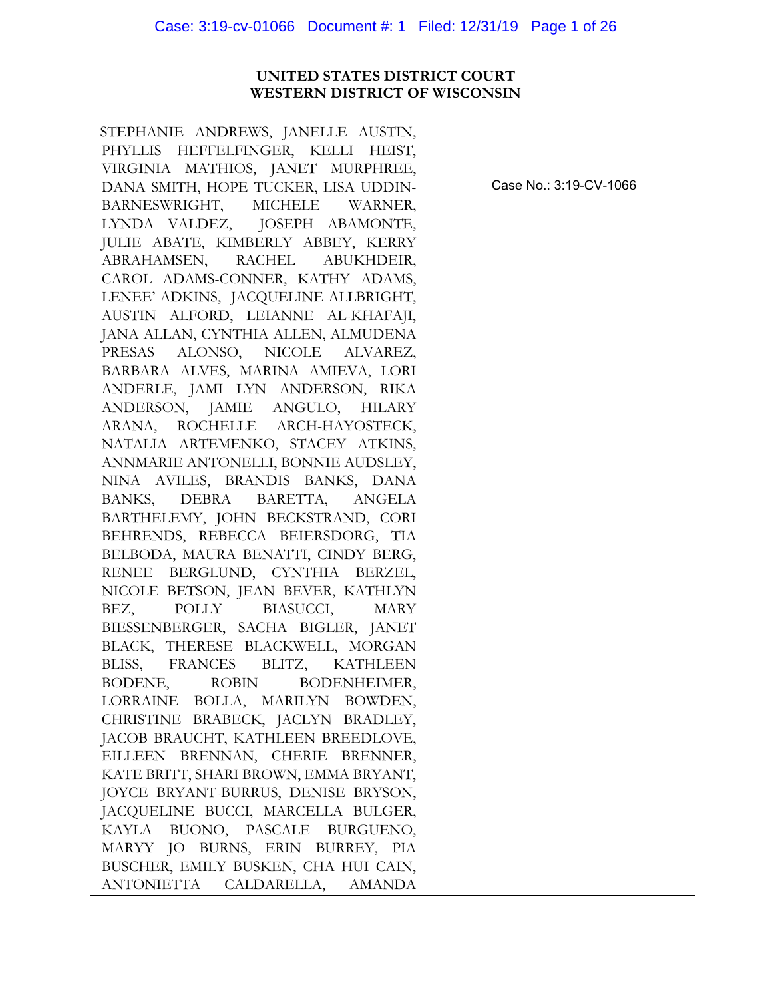## **UNITED STATES DISTRICT COURT WESTERN DISTRICT OF WISCONSIN**

STEPHANIE ANDREWS, JANELLE AUSTIN, PHYLLIS HEFFELFINGER, KELLI HEIST, VIRGINIA MATHIOS, JANET MURPHREE, DANA SMITH, HOPE TUCKER, LISA UDDIN-BARNESWRIGHT, MICHELE WARNER, LYNDA VALDEZ, JOSEPH ABAMONTE, JULIE ABATE, KIMBERLY ABBEY, KERRY ABRAHAMSEN, RACHEL ABUKHDEIR, CAROL ADAMS-CONNER, KATHY ADAMS, LENEE' ADKINS, JACQUELINE ALLBRIGHT, AUSTIN ALFORD, LEIANNE AL-KHAFAJI, JANA ALLAN, CYNTHIA ALLEN, ALMUDENA PRESAS ALONSO, NICOLE ALVAREZ, BARBARA ALVES, MARINA AMIEVA, LORI ANDERLE, JAMI LYN ANDERSON, RIKA ANDERSON, JAMIE ANGULO, HILARY ARANA, ROCHELLE ARCH-HAYOSTECK, NATALIA ARTEMENKO, STACEY ATKINS, ANNMARIE ANTONELLI, BONNIE AUDSLEY, NINA AVILES, BRANDIS BANKS, DANA BANKS, DEBRA BARETTA, ANGELA BARTHELEMY, JOHN BECKSTRAND, CORI BEHRENDS, REBECCA BEIERSDORG, TIA BELBODA, MAURA BENATTI, CINDY BERG, RENEE BERGLUND, CYNTHIA BERZEL, NICOLE BETSON, JEAN BEVER, KATHLYN BEZ, POLLY BIASUCCI, MARY BIESSENBERGER, SACHA BIGLER, JANET BLACK, THERESE BLACKWELL, MORGAN BLISS, FRANCES BLITZ, KATHLEEN BODENE, ROBIN BODENHEIMER, LORRAINE BOLLA, MARILYN BOWDEN, CHRISTINE BRABECK, JACLYN BRADLEY, JACOB BRAUCHT, KATHLEEN BREEDLOVE, EILLEEN BRENNAN, CHERIE BRENNER, KATE BRITT, SHARI BROWN, EMMA BRYANT, JOYCE BRYANT-BURRUS, DENISE BRYSON, JACQUELINE BUCCI, MARCELLA BULGER, KAYLA BUONO, PASCALE BURGUENO, MARYY JO BURNS, ERIN BURREY, PIA BUSCHER, EMILY BUSKEN, CHA HUI CAIN, ANTONIETTA CALDARELLA, AMANDA

Case No.: 3:19-CV-1066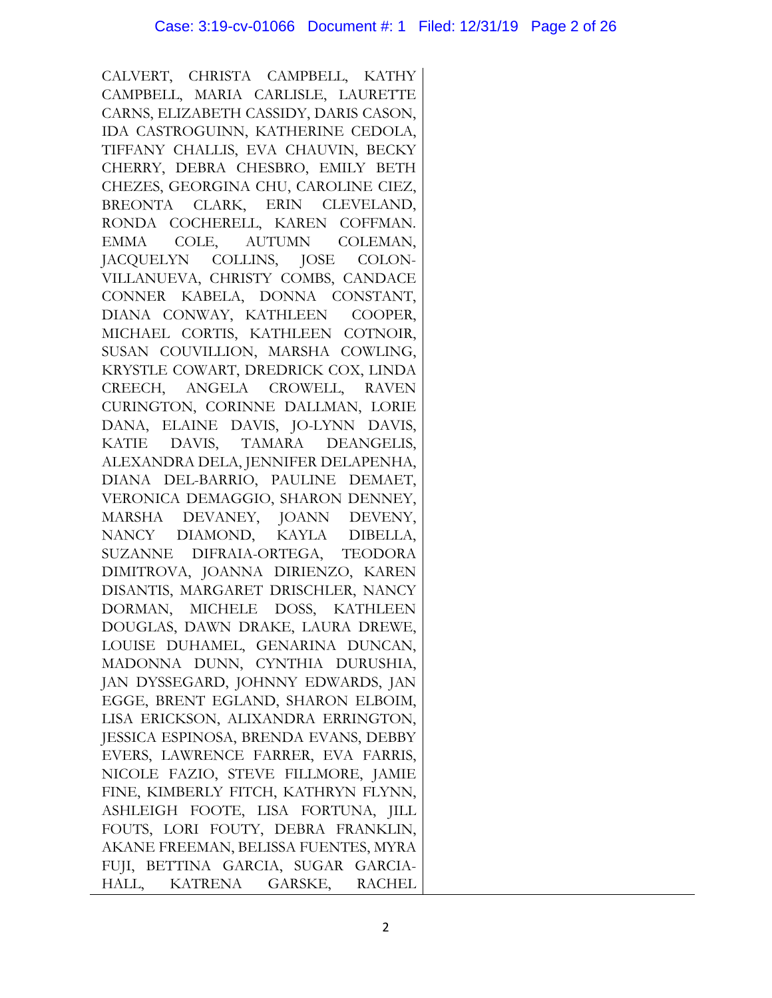CALVERT, CHRISTA CAMPBELL, KATHY CAMPBELL, MARIA CARLISLE, LAURETTE CARNS, ELIZABETH CASSIDY, DARIS CASON, IDA CASTROGUINN, KATHERINE CEDOLA, TIFFANY CHALLIS, EVA CHAUVIN, BECKY CHERRY, DEBRA CHESBRO, EMILY BETH CHEZES, GEORGINA CHU, CAROLINE CIEZ, BREONTA CLARK, ERIN CLEVELAND, RONDA COCHERELL, KAREN COFFMAN. EMMA COLE, AUTUMN COLEMAN, JACQUELYN COLLINS, JOSE COLON-VILLANUEVA, CHRISTY COMBS, CANDACE CONNER KABELA, DONNA CONSTANT, DIANA CONWAY, KATHLEEN COOPER, MICHAEL CORTIS, KATHLEEN COTNOIR, SUSAN COUVILLION, MARSHA COWLING, KRYSTLE COWART, DREDRICK COX, LINDA CREECH, ANGELA CROWELL, RAVEN CURINGTON, CORINNE DALLMAN, LORIE DANA, ELAINE DAVIS, JO-LYNN DAVIS, KATIE DAVIS, TAMARA DEANGELIS, ALEXANDRA DELA, JENNIFER DELAPENHA, DIANA DEL-BARRIO, PAULINE DEMAET, VERONICA DEMAGGIO, SHARON DENNEY, MARSHA DEVANEY, JOANN DEVENY, NANCY DIAMOND, KAYLA DIBELLA, SUZANNE DIFRAIA-ORTEGA, TEODORA DIMITROVA, JOANNA DIRIENZO, KAREN DISANTIS, MARGARET DRISCHLER, NANCY DORMAN, MICHELE DOSS, KATHLEEN DOUGLAS, DAWN DRAKE, LAURA DREWE, LOUISE DUHAMEL, GENARINA DUNCAN, MADONNA DUNN, CYNTHIA DURUSHIA, JAN DYSSEGARD, JOHNNY EDWARDS, JAN EGGE, BRENT EGLAND, SHARON ELBOIM, LISA ERICKSON, ALIXANDRA ERRINGTON, JESSICA ESPINOSA, BRENDA EVANS, DEBBY EVERS, LAWRENCE FARRER, EVA FARRIS, NICOLE FAZIO, STEVE FILLMORE, JAMIE FINE, KIMBERLY FITCH, KATHRYN FLYNN, ASHLEIGH FOOTE, LISA FORTUNA, JILL FOUTS, LORI FOUTY, DEBRA FRANKLIN, AKANE FREEMAN, BELISSA FUENTES, MYRA FUJI, BETTINA GARCIA, SUGAR GARCIA-HALL, KATRENA GARSKE, RACHEL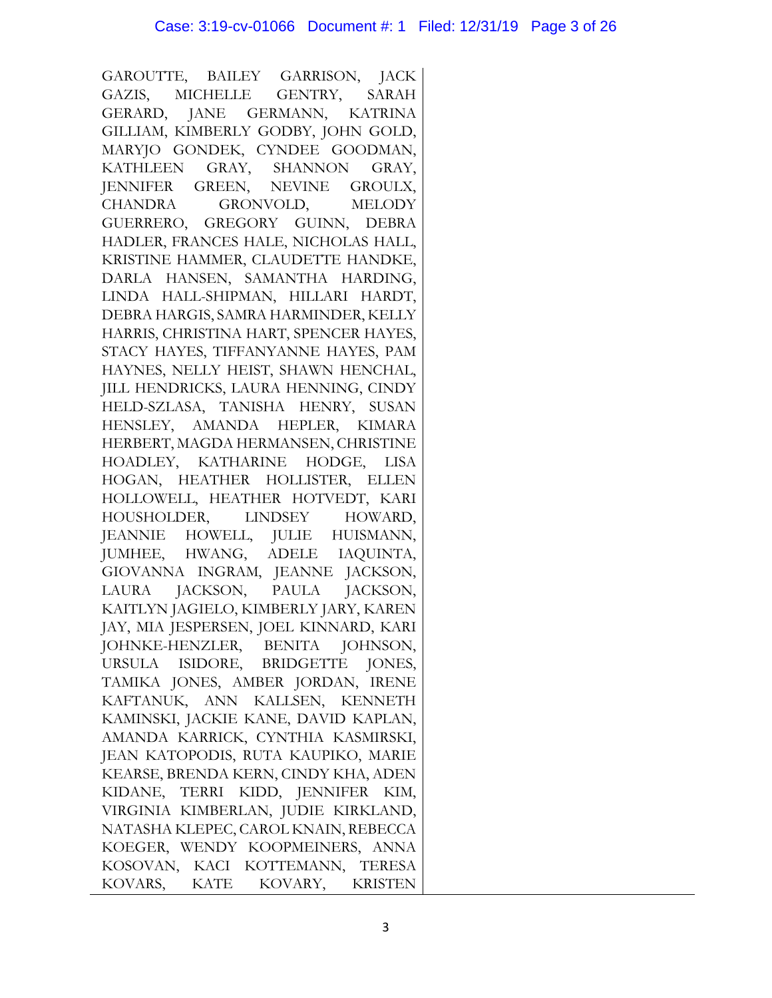GAROUTTE, BAILEY GARRISON, JACK GAZIS, MICHELLE GENTRY, SARAH GERARD, JANE GERMANN, KATRINA GILLIAM, KIMBERLY GODBY, JOHN GOLD, MARYJO GONDEK, CYNDEE GOODMAN, KATHLEEN GRAY, SHANNON GRAY, JENNIFER GREEN, NEVINE GROULX, CHANDRA GRONVOLD, MELODY GUERRERO, GREGORY GUINN, DEBRA HADLER, FRANCES HALE, NICHOLAS HALL, KRISTINE HAMMER, CLAUDETTE HANDKE, DARLA HANSEN, SAMANTHA HARDING, LINDA HALL-SHIPMAN, HILLARI HARDT, DEBRA HARGIS, SAMRA HARMINDER, KELLY HARRIS, CHRISTINA HART, SPENCER HAYES, STACY HAYES, TIFFANYANNE HAYES, PAM HAYNES, NELLY HEIST, SHAWN HENCHAL, JILL HENDRICKS, LAURA HENNING, CINDY HELD-SZLASA, TANISHA HENRY, SUSAN HENSLEY, AMANDA HEPLER, KIMARA HERBERT, MAGDA HERMANSEN, CHRISTINE HOADLEY, KATHARINE HODGE, LISA HOGAN, HEATHER HOLLISTER, ELLEN HOLLOWELL, HEATHER HOTVEDT, KARI HOUSHOLDER, LINDSEY HOWARD, JEANNIE HOWELL, JULIE HUISMANN, JUMHEE, HWANG, ADELE IAQUINTA, GIOVANNA INGRAM, JEANNE JACKSON, LAURA JACKSON, PAULA JACKSON, KAITLYN JAGIELO, KIMBERLY JARY, KAREN JAY, MIA JESPERSEN, JOEL KINNARD, KARI JOHNKE-HENZLER, BENITA JOHNSON, URSULA ISIDORE, BRIDGETTE JONES, TAMIKA JONES, AMBER JORDAN, IRENE KAFTANUK, ANN KALLSEN, KENNETH KAMINSKI, JACKIE KANE, DAVID KAPLAN, AMANDA KARRICK, CYNTHIA KASMIRSKI, JEAN KATOPODIS, RUTA KAUPIKO, MARIE KEARSE, BRENDA KERN, CINDY KHA, ADEN KIDANE, TERRI KIDD, JENNIFER KIM, VIRGINIA KIMBERLAN, JUDIE KIRKLAND, NATASHA KLEPEC, CAROL KNAIN, REBECCA KOEGER, WENDY KOOPMEINERS, ANNA KOSOVAN, KACI KOTTEMANN, TERESA KOVARS, KATE KOVARY, KRISTEN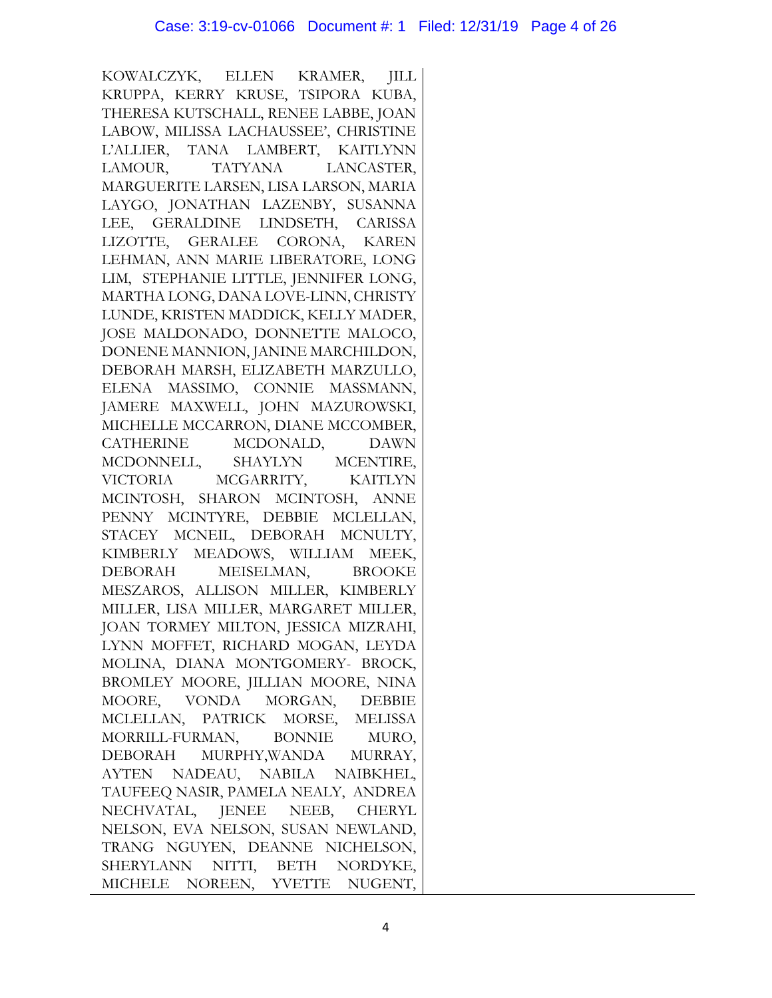KOWALCZYK, ELLEN KRAMER, JILL KRUPPA, KERRY KRUSE, TSIPORA KUBA, THERESA KUTSCHALL, RENEE LABBE, JOAN LABOW, MILISSA LACHAUSSEE', CHRISTINE L'ALLIER, TANA LAMBERT, KAITLYNN LAMOUR, TATYANA LANCASTER, MARGUERITE LARSEN, LISA LARSON, MARIA LAYGO, JONATHAN LAZENBY, SUSANNA LEE, GERALDINE LINDSETH, CARISSA LIZOTTE, GERALEE CORONA, KAREN LEHMAN, ANN MARIE LIBERATORE, LONG LIM, STEPHANIE LITTLE, JENNIFER LONG, MARTHA LONG, DANA LOVE-LINN, CHRISTY LUNDE, KRISTEN MADDICK, KELLY MADER, JOSE MALDONADO, DONNETTE MALOCO, DONENE MANNION, JANINE MARCHILDON, DEBORAH MARSH, ELIZABETH MARZULLO, ELENA MASSIMO, CONNIE MASSMANN, JAMERE MAXWELL, JOHN MAZUROWSKI, MICHELLE MCCARRON, DIANE MCCOMBER, CATHERINE MCDONALD, DAWN MCDONNELL, SHAYLYN MCENTIRE, VICTORIA MCGARRITY, KAITLYN MCINTOSH, SHARON MCINTOSH, ANNE PENNY MCINTYRE, DEBBIE MCLELLAN, STACEY MCNEIL, DEBORAH MCNULTY, KIMBERLY MEADOWS, WILLIAM MEEK, DEBORAH MEISELMAN, BROOKE MESZAROS, ALLISON MILLER, KIMBERLY MILLER, LISA MILLER, MARGARET MILLER, JOAN TORMEY MILTON, JESSICA MIZRAHI, LYNN MOFFET, RICHARD MOGAN, LEYDA MOLINA, DIANA MONTGOMERY- BROCK, BROMLEY MOORE, JILLIAN MOORE, NINA MOORE, VONDA MORGAN, DEBBIE MCLELLAN, PATRICK MORSE, MELISSA MORRILL-FURMAN, BONNIE MURO, DEBORAH MURPHY,WANDA MURRAY, AYTEN NADEAU, NABILA NAIBKHEL, TAUFEEQ NASIR, PAMELA NEALY, ANDREA NECHVATAL, JENEE NEEB, CHERYL NELSON, EVA NELSON, SUSAN NEWLAND, TRANG NGUYEN, DEANNE NICHELSON, SHERYLANN NITTI, BETH NORDYKE, MICHELE NOREEN, YVETTE NUGENT,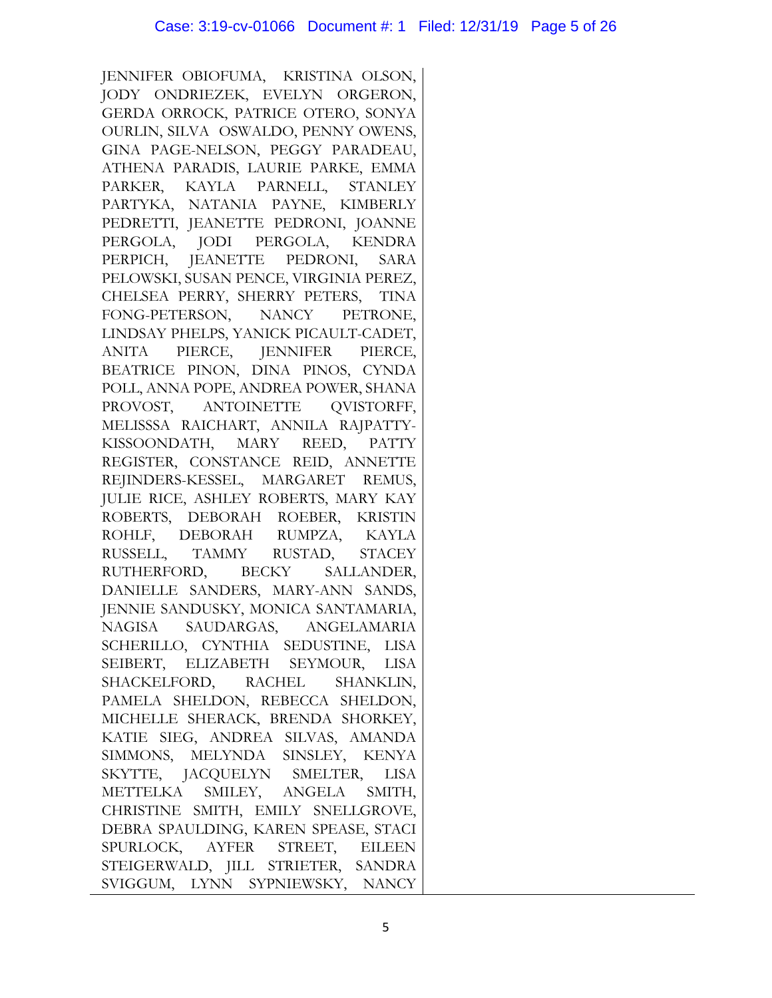JENNIFER OBIOFUMA, KRISTINA OLSON, JODY ONDRIEZEK, EVELYN ORGERON, GERDA ORROCK, PATRICE OTERO, SONYA OURLIN, SILVA OSWALDO, PENNY OWENS, GINA PAGE-NELSON, PEGGY PARADEAU, ATHENA PARADIS, LAURIE PARKE, EMMA PARKER, KAYLA PARNELL, STANLEY PARTYKA, NATANIA PAYNE, KIMBERLY PEDRETTI, JEANETTE PEDRONI, JOANNE PERGOLA, JODI PERGOLA, KENDRA PERPICH, JEANETTE PEDRONI, SARA PELOWSKI, SUSAN PENCE, VIRGINIA PEREZ, CHELSEA PERRY, SHERRY PETERS, TINA FONG-PETERSON, NANCY PETRONE, LINDSAY PHELPS, YANICK PICAULT-CADET, ANITA PIERCE, JENNIFER PIERCE, BEATRICE PINON, DINA PINOS, CYNDA POLL, ANNA POPE, ANDREA POWER, SHANA PROVOST, ANTOINETTE QVISTORFF, MELISSSA RAICHART, ANNILA RAJPATTY-KISSOONDATH, MARY REED, PATTY REGISTER, CONSTANCE REID, ANNETTE REJINDERS-KESSEL, MARGARET REMUS, JULIE RICE, ASHLEY ROBERTS, MARY KAY ROBERTS, DEBORAH ROEBER, KRISTIN ROHLF, DEBORAH RUMPZA, KAYLA RUSSELL, TAMMY RUSTAD, STACEY RUTHERFORD, BECKY SALLANDER, DANIELLE SANDERS, MARY-ANN SANDS, JENNIE SANDUSKY, MONICA SANTAMARIA, NAGISA SAUDARGAS, ANGELAMARIA SCHERILLO, CYNTHIA SEDUSTINE, LISA SEIBERT, ELIZABETH SEYMOUR, LISA SHACKELFORD, RACHEL SHANKLIN, PAMELA SHELDON, REBECCA SHELDON, MICHELLE SHERACK, BRENDA SHORKEY, KATIE SIEG, ANDREA SILVAS, AMANDA SIMMONS, MELYNDA SINSLEY, KENYA SKYTTE, JACQUELYN SMELTER, LISA METTELKA SMILEY, ANGELA SMITH, CHRISTINE SMITH, EMILY SNELLGROVE, DEBRA SPAULDING, KAREN SPEASE, STACI SPURLOCK, AYFER STREET, EILEEN STEIGERWALD, JILL STRIETER, SANDRA SVIGGUM, LYNN SYPNIEWSKY, NANCY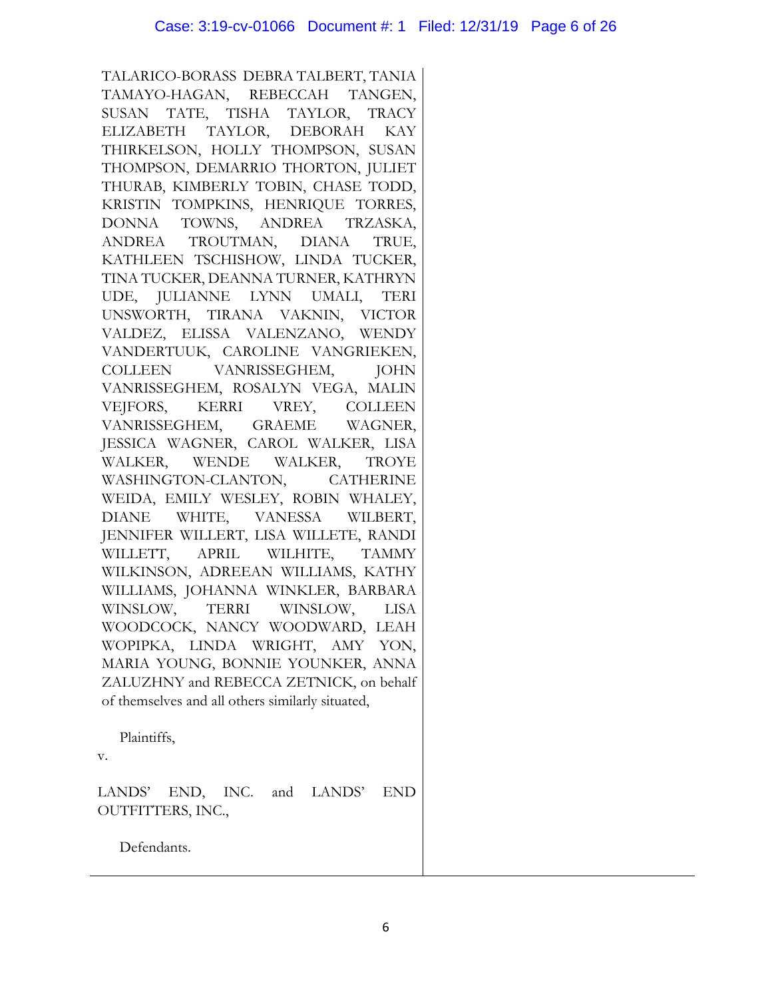TALARICO-BORASS DEBRA TALBERT, TANIA TAMAYO-HAGAN, REBECCAH TANGEN, SUSAN TATE, TISHA TAYLOR, TRACY ELIZABETH TAYLOR, DEBORAH KAY THIRKELSON, HOLLY THOMPSON, SUSAN THOMPSON, DEMARRIO THORTON, JULIET THURAB, KIMBERLY TOBIN, CHASE TODD, KRISTIN TOMPKINS, HENRIQUE TORRES, DONNA TOWNS, ANDREA TRZASKA, ANDREA TROUTMAN, DIANA TRUE, KATHLEEN TSCHISHOW, LINDA TUCKER, TINA TUCKER, DEANNA TURNER, KATHRYN UDE, JULIANNE LYNN UMALI, TERI UNSWORTH, TIRANA VAKNIN, VICTOR VALDEZ, ELISSA VALENZANO, WENDY VANDERTUUK, CAROLINE VANGRIEKEN, COLLEEN VANRISSEGHEM, JOHN VANRISSEGHEM, ROSALYN VEGA, MALIN VEJFORS, KERRI VREY, COLLEEN VANRISSEGHEM, GRAEME WAGNER, JESSICA WAGNER, CAROL WALKER, LISA WALKER, WENDE WALKER, TROYE WASHINGTON-CLANTON, CATHERINE WEIDA, EMILY WESLEY, ROBIN WHALEY, DIANE WHITE, VANESSA WILBERT, JENNIFER WILLERT, LISA WILLETE, RANDI WILLETT, APRIL WILHITE, TAMMY WILKINSON, ADREEAN WILLIAMS, KATHY WILLIAMS, JOHANNA WINKLER, BARBARA WINSLOW, TERRI WINSLOW, LISA WOODCOCK, NANCY WOODWARD, LEAH WOPIPKA, LINDA WRIGHT, AMY YON, MARIA YOUNG, BONNIE YOUNKER, ANNA ZALUZHNY and REBECCA ZETNICK, on behalf of themselves and all others similarly situated,

Plaintiffs,

v.

LANDS' END, INC. and LANDS' END OUTFITTERS, INC.,

Defendants.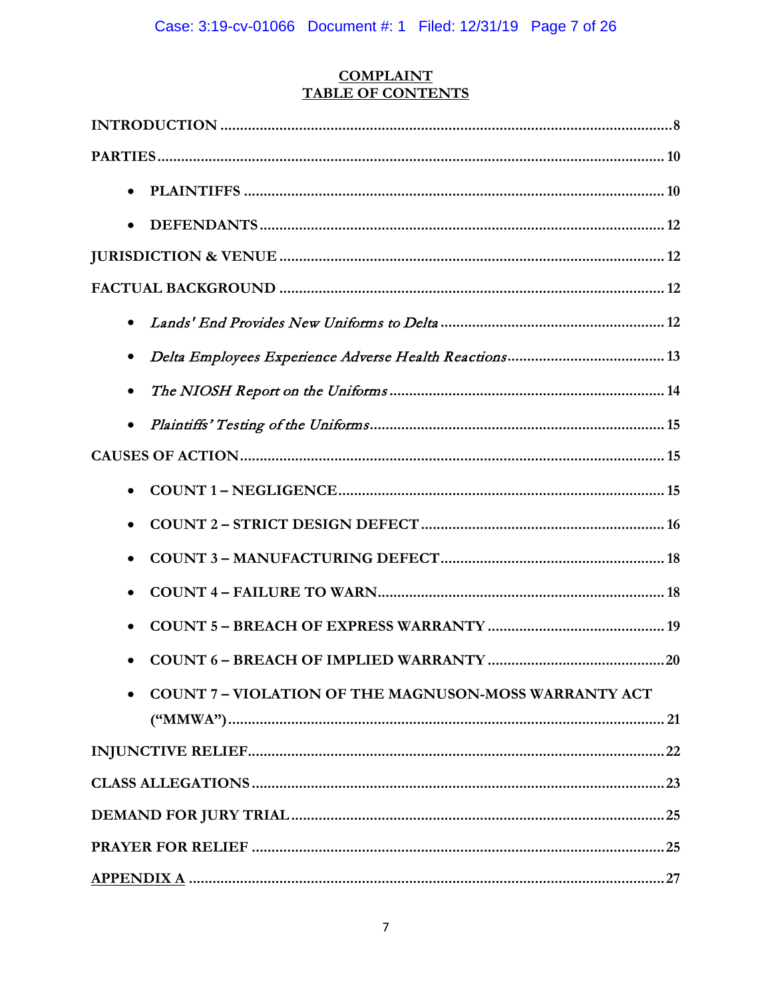# **COMPLAINT<br>TABLE OF CONTENTS**

| $\bullet$                                                  |
|------------------------------------------------------------|
|                                                            |
|                                                            |
|                                                            |
|                                                            |
|                                                            |
|                                                            |
|                                                            |
|                                                            |
|                                                            |
|                                                            |
|                                                            |
|                                                            |
|                                                            |
| <b>COUNT 7-VIOLATION OF THE MAGNUSON-MOSS WARRANTY ACT</b> |
|                                                            |
|                                                            |
|                                                            |
|                                                            |
|                                                            |
|                                                            |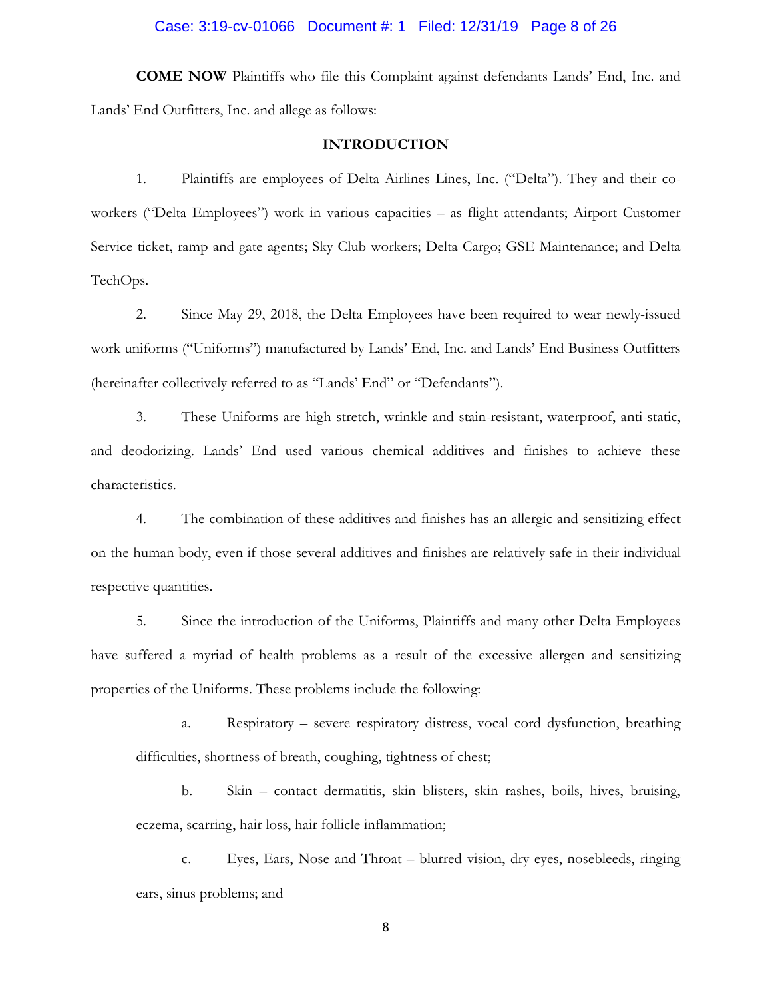#### Case: 3:19-cv-01066 Document #: 1 Filed: 12/31/19 Page 8 of 26

**COME NOW** Plaintiffs who file this Complaint against defendants Lands' End, Inc. and Lands' End Outfitters, Inc. and allege as follows:

## **INTRODUCTION**

1. Plaintiffs are employees of Delta Airlines Lines, Inc. ("Delta"). They and their coworkers ("Delta Employees") work in various capacities – as flight attendants; Airport Customer Service ticket, ramp and gate agents; Sky Club workers; Delta Cargo; GSE Maintenance; and Delta TechOps.

2. Since May 29, 2018, the Delta Employees have been required to wear newly-issued work uniforms ("Uniforms") manufactured by Lands' End, Inc. and Lands' End Business Outfitters (hereinafter collectively referred to as "Lands' End" or "Defendants").

3. These Uniforms are high stretch, wrinkle and stain-resistant, waterproof, anti-static, and deodorizing. Lands' End used various chemical additives and finishes to achieve these characteristics.

4. The combination of these additives and finishes has an allergic and sensitizing effect on the human body, even if those several additives and finishes are relatively safe in their individual respective quantities.

5. Since the introduction of the Uniforms, Plaintiffs and many other Delta Employees have suffered a myriad of health problems as a result of the excessive allergen and sensitizing properties of the Uniforms. These problems include the following:

a. Respiratory – severe respiratory distress, vocal cord dysfunction, breathing difficulties, shortness of breath, coughing, tightness of chest;

b. Skin – contact dermatitis, skin blisters, skin rashes, boils, hives, bruising, eczema, scarring, hair loss, hair follicle inflammation;

c. Eyes, Ears, Nose and Throat – blurred vision, dry eyes, nosebleeds, ringing ears, sinus problems; and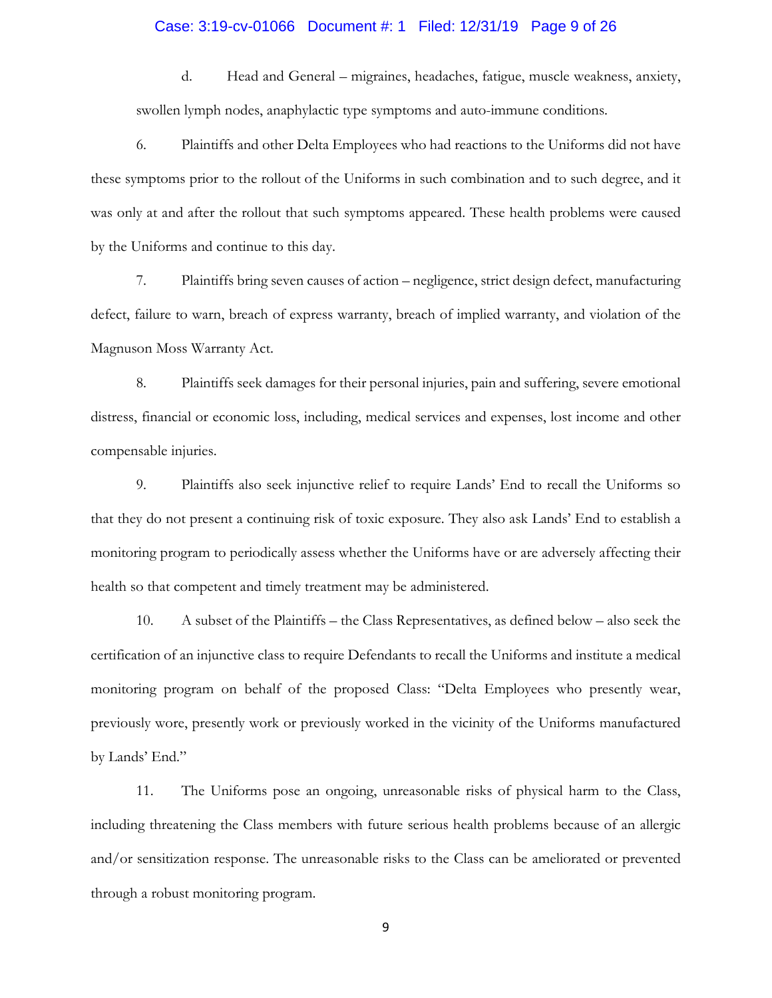#### Case: 3:19-cv-01066 Document #: 1 Filed: 12/31/19 Page 9 of 26

d. Head and General – migraines, headaches, fatigue, muscle weakness, anxiety, swollen lymph nodes, anaphylactic type symptoms and auto-immune conditions.

6. Plaintiffs and other Delta Employees who had reactions to the Uniforms did not have these symptoms prior to the rollout of the Uniforms in such combination and to such degree, and it was only at and after the rollout that such symptoms appeared. These health problems were caused by the Uniforms and continue to this day.

7. Plaintiffs bring seven causes of action – negligence, strict design defect, manufacturing defect, failure to warn, breach of express warranty, breach of implied warranty, and violation of the Magnuson Moss Warranty Act.

8. Plaintiffs seek damages for their personal injuries, pain and suffering, severe emotional distress, financial or economic loss, including, medical services and expenses, lost income and other compensable injuries.

9. Plaintiffs also seek injunctive relief to require Lands' End to recall the Uniforms so that they do not present a continuing risk of toxic exposure. They also ask Lands' End to establish a monitoring program to periodically assess whether the Uniforms have or are adversely affecting their health so that competent and timely treatment may be administered.

10. A subset of the Plaintiffs – the Class Representatives, as defined below – also seek the certification of an injunctive class to require Defendants to recall the Uniforms and institute a medical monitoring program on behalf of the proposed Class: "Delta Employees who presently wear, previously wore, presently work or previously worked in the vicinity of the Uniforms manufactured by Lands' End."

11. The Uniforms pose an ongoing, unreasonable risks of physical harm to the Class, including threatening the Class members with future serious health problems because of an allergic and/or sensitization response. The unreasonable risks to the Class can be ameliorated or prevented through a robust monitoring program.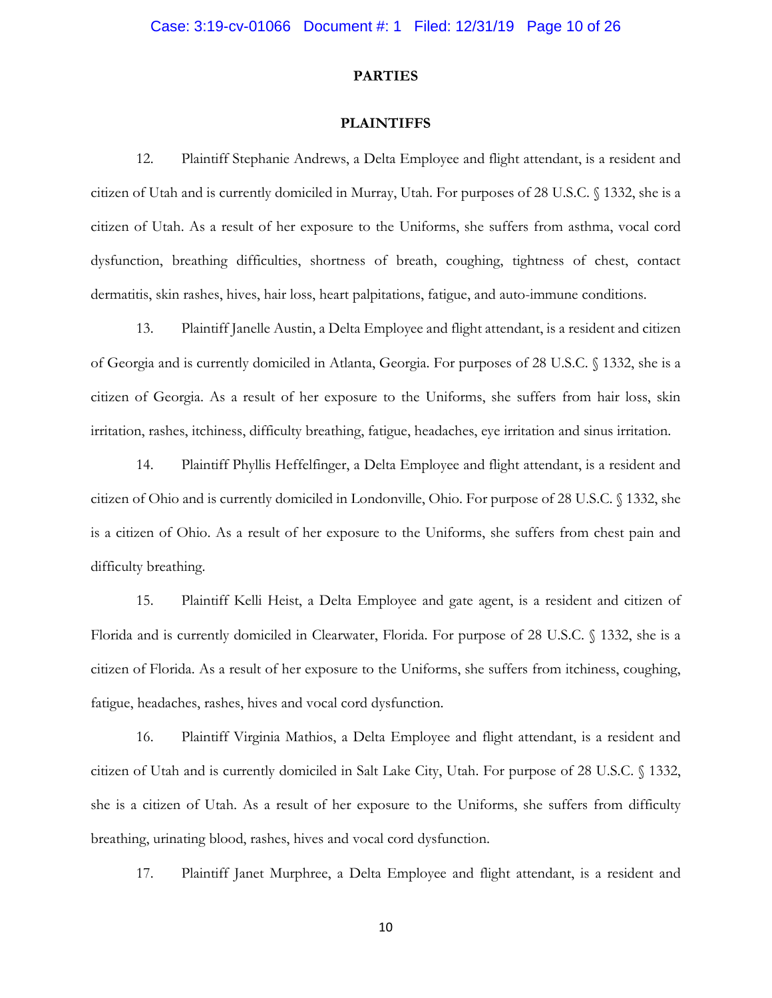## **PARTIES**

#### **PLAINTIFFS**

12. Plaintiff Stephanie Andrews, a Delta Employee and flight attendant, is a resident and citizen of Utah and is currently domiciled in Murray, Utah. For purposes of 28 U.S.C. § 1332, she is a citizen of Utah. As a result of her exposure to the Uniforms, she suffers from asthma, vocal cord dysfunction, breathing difficulties, shortness of breath, coughing, tightness of chest, contact dermatitis, skin rashes, hives, hair loss, heart palpitations, fatigue, and auto-immune conditions.

13. Plaintiff Janelle Austin, a Delta Employee and flight attendant, is a resident and citizen of Georgia and is currently domiciled in Atlanta, Georgia. For purposes of 28 U.S.C. § 1332, she is a citizen of Georgia. As a result of her exposure to the Uniforms, she suffers from hair loss, skin irritation, rashes, itchiness, difficulty breathing, fatigue, headaches, eye irritation and sinus irritation.

14. Plaintiff Phyllis Heffelfinger, a Delta Employee and flight attendant, is a resident and citizen of Ohio and is currently domiciled in Londonville, Ohio. For purpose of 28 U.S.C. § 1332, she is a citizen of Ohio. As a result of her exposure to the Uniforms, she suffers from chest pain and difficulty breathing.

15. Plaintiff Kelli Heist, a Delta Employee and gate agent, is a resident and citizen of Florida and is currently domiciled in Clearwater, Florida. For purpose of 28 U.S.C. § 1332, she is a citizen of Florida. As a result of her exposure to the Uniforms, she suffers from itchiness, coughing, fatigue, headaches, rashes, hives and vocal cord dysfunction.

16. Plaintiff Virginia Mathios, a Delta Employee and flight attendant, is a resident and citizen of Utah and is currently domiciled in Salt Lake City, Utah. For purpose of 28 U.S.C. § 1332, she is a citizen of Utah. As a result of her exposure to the Uniforms, she suffers from difficulty breathing, urinating blood, rashes, hives and vocal cord dysfunction.

17. Plaintiff Janet Murphree, a Delta Employee and flight attendant, is a resident and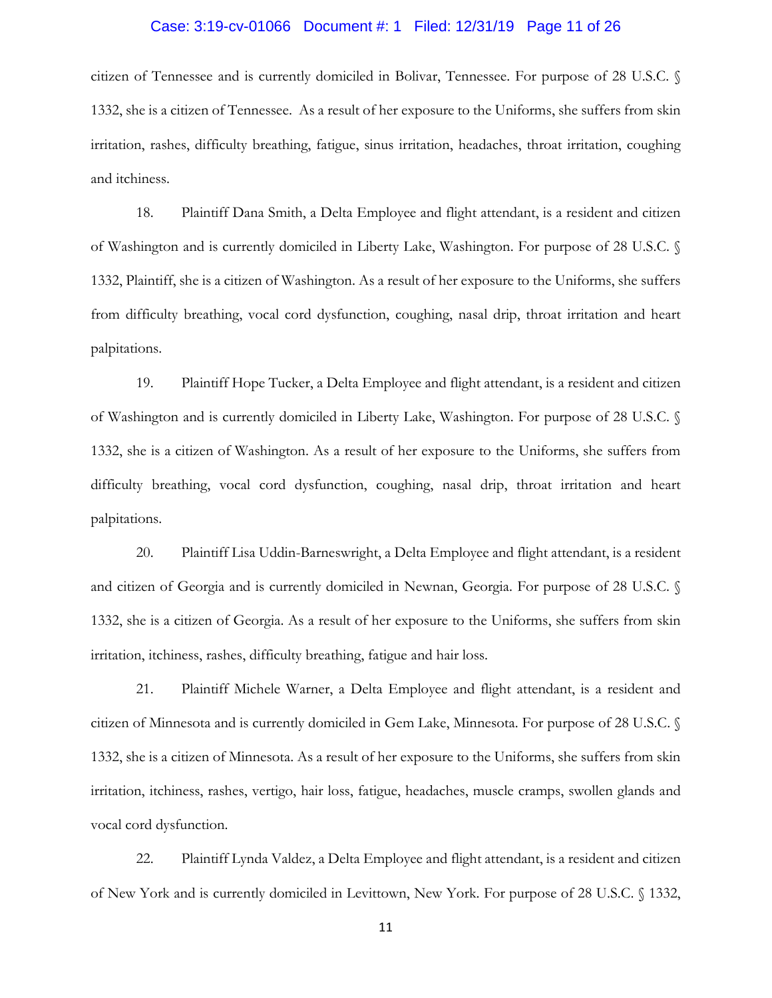#### Case: 3:19-cv-01066 Document #: 1 Filed: 12/31/19 Page 11 of 26

citizen of Tennessee and is currently domiciled in Bolivar, Tennessee. For purpose of 28 U.S.C. § 1332, she is a citizen of Tennessee. As a result of her exposure to the Uniforms, she suffers from skin irritation, rashes, difficulty breathing, fatigue, sinus irritation, headaches, throat irritation, coughing and itchiness.

18. Plaintiff Dana Smith, a Delta Employee and flight attendant, is a resident and citizen of Washington and is currently domiciled in Liberty Lake, Washington. For purpose of 28 U.S.C. § 1332, Plaintiff, she is a citizen of Washington. As a result of her exposure to the Uniforms, she suffers from difficulty breathing, vocal cord dysfunction, coughing, nasal drip, throat irritation and heart palpitations.

19. Plaintiff Hope Tucker, a Delta Employee and flight attendant, is a resident and citizen of Washington and is currently domiciled in Liberty Lake, Washington. For purpose of 28 U.S.C. § 1332, she is a citizen of Washington. As a result of her exposure to the Uniforms, she suffers from difficulty breathing, vocal cord dysfunction, coughing, nasal drip, throat irritation and heart palpitations.

20. Plaintiff Lisa Uddin-Barneswright, a Delta Employee and flight attendant, is a resident and citizen of Georgia and is currently domiciled in Newnan, Georgia. For purpose of 28 U.S.C. § 1332, she is a citizen of Georgia. As a result of her exposure to the Uniforms, she suffers from skin irritation, itchiness, rashes, difficulty breathing, fatigue and hair loss.

21. Plaintiff Michele Warner, a Delta Employee and flight attendant, is a resident and citizen of Minnesota and is currently domiciled in Gem Lake, Minnesota. For purpose of 28 U.S.C. § 1332, she is a citizen of Minnesota. As a result of her exposure to the Uniforms, she suffers from skin irritation, itchiness, rashes, vertigo, hair loss, fatigue, headaches, muscle cramps, swollen glands and vocal cord dysfunction.

22. Plaintiff Lynda Valdez, a Delta Employee and flight attendant, is a resident and citizen of New York and is currently domiciled in Levittown, New York. For purpose of 28 U.S.C. § 1332,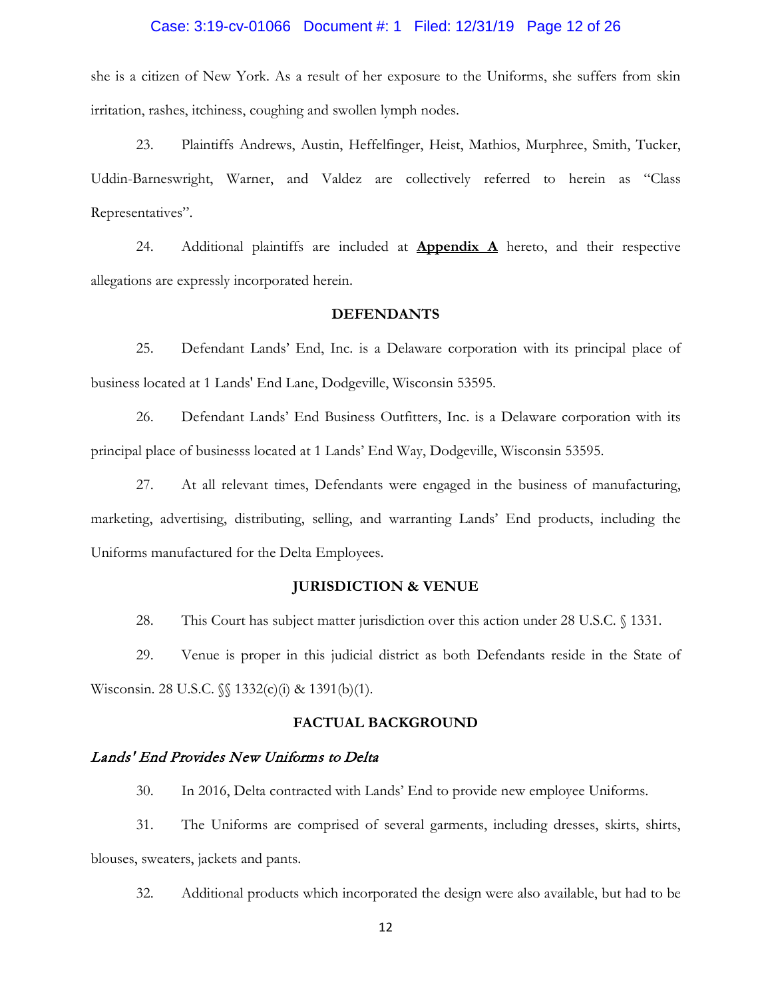#### Case: 3:19-cv-01066 Document #: 1 Filed: 12/31/19 Page 12 of 26

she is a citizen of New York. As a result of her exposure to the Uniforms, she suffers from skin irritation, rashes, itchiness, coughing and swollen lymph nodes.

23. Plaintiffs Andrews, Austin, Heffelfinger, Heist, Mathios, Murphree, Smith, Tucker, Uddin-Barneswright, Warner, and Valdez are collectively referred to herein as "Class Representatives".

24. Additional plaintiffs are included at **Appendix A** hereto, and their respective allegations are expressly incorporated herein.

## **DEFENDANTS**

25. Defendant Lands' End, Inc. is a Delaware corporation with its principal place of business located at 1 Lands' End Lane, Dodgeville, Wisconsin 53595.

26. Defendant Lands' End Business Outfitters, Inc. is a Delaware corporation with its principal place of businesss located at 1 Lands' End Way, Dodgeville, Wisconsin 53595.

27. At all relevant times, Defendants were engaged in the business of manufacturing, marketing, advertising, distributing, selling, and warranting Lands' End products, including the Uniforms manufactured for the Delta Employees.

#### **JURISDICTION & VENUE**

28. This Court has subject matter jurisdiction over this action under 28 U.S.C. § 1331.

29. Venue is proper in this judicial district as both Defendants reside in the State of Wisconsin. 28 U.S.C. §§ 1332(c)(i) & 1391(b)(1).

## **FACTUAL BACKGROUND**

#### Lands' End Provides New Uniforms to Delta

30. In 2016, Delta contracted with Lands' End to provide new employee Uniforms.

31. The Uniforms are comprised of several garments, including dresses, skirts, shirts, blouses, sweaters, jackets and pants.

32. Additional products which incorporated the design were also available, but had to be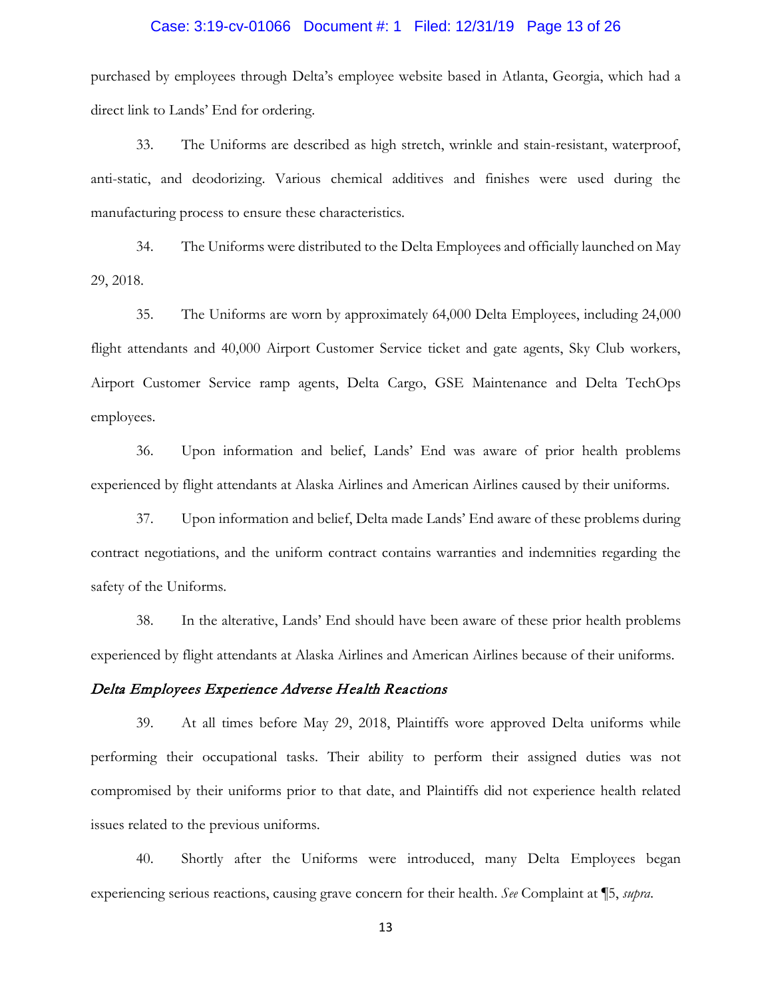#### Case: 3:19-cv-01066 Document #: 1 Filed: 12/31/19 Page 13 of 26

purchased by employees through Delta's employee website based in Atlanta, Georgia, which had a direct link to Lands' End for ordering.

33. The Uniforms are described as high stretch, wrinkle and stain-resistant, waterproof, anti-static, and deodorizing. Various chemical additives and finishes were used during the manufacturing process to ensure these characteristics.

34. The Uniforms were distributed to the Delta Employees and officially launched on May 29, 2018.

35. The Uniforms are worn by approximately 64,000 Delta Employees, including 24,000 flight attendants and 40,000 Airport Customer Service ticket and gate agents, Sky Club workers, Airport Customer Service ramp agents, Delta Cargo, GSE Maintenance and Delta TechOps employees.

36. Upon information and belief, Lands' End was aware of prior health problems experienced by flight attendants at Alaska Airlines and American Airlines caused by their uniforms.

37. Upon information and belief, Delta made Lands' End aware of these problems during contract negotiations, and the uniform contract contains warranties and indemnities regarding the safety of the Uniforms.

38. In the alterative, Lands' End should have been aware of these prior health problems experienced by flight attendants at Alaska Airlines and American Airlines because of their uniforms.

## Delta Employees Experience Adverse Health Reactions

39. At all times before May 29, 2018, Plaintiffs wore approved Delta uniforms while performing their occupational tasks. Their ability to perform their assigned duties was not compromised by their uniforms prior to that date, and Plaintiffs did not experience health related issues related to the previous uniforms.

40. Shortly after the Uniforms were introduced, many Delta Employees began experiencing serious reactions, causing grave concern for their health. *See* Complaint at ¶5, *supra*.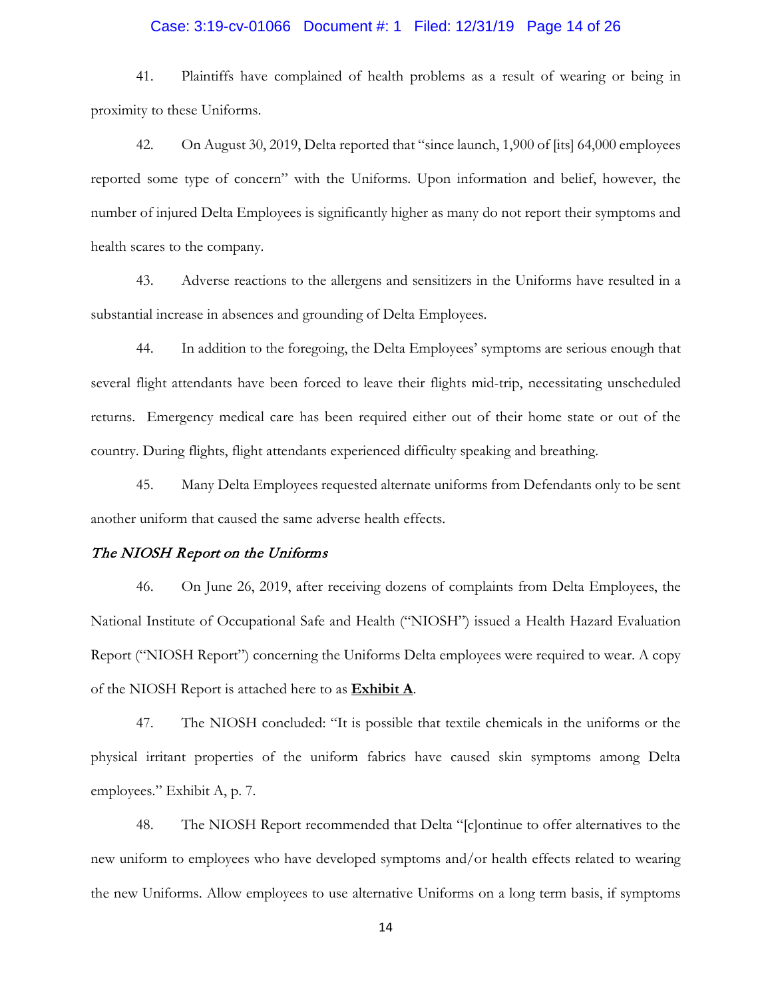#### Case: 3:19-cv-01066 Document #: 1 Filed: 12/31/19 Page 14 of 26

41. Plaintiffs have complained of health problems as a result of wearing or being in proximity to these Uniforms.

42. On August 30, 2019, Delta reported that "since launch, 1,900 of [its] 64,000 employees reported some type of concern" with the Uniforms. Upon information and belief, however, the number of injured Delta Employees is significantly higher as many do not report their symptoms and health scares to the company.

43. Adverse reactions to the allergens and sensitizers in the Uniforms have resulted in a substantial increase in absences and grounding of Delta Employees.

44. In addition to the foregoing, the Delta Employees' symptoms are serious enough that several flight attendants have been forced to leave their flights mid-trip, necessitating unscheduled returns. Emergency medical care has been required either out of their home state or out of the country. During flights, flight attendants experienced difficulty speaking and breathing.

45. Many Delta Employees requested alternate uniforms from Defendants only to be sent another uniform that caused the same adverse health effects.

#### The NIOSH Report on the Uniforms

46. On June 26, 2019, after receiving dozens of complaints from Delta Employees, the National Institute of Occupational Safe and Health ("NIOSH") issued a Health Hazard Evaluation Report ("NIOSH Report") concerning the Uniforms Delta employees were required to wear. A copy of the NIOSH Report is attached here to as **Exhibit A**.

47. The NIOSH concluded: "It is possible that textile chemicals in the uniforms or the physical irritant properties of the uniform fabrics have caused skin symptoms among Delta employees." Exhibit A, p. 7.

48. The NIOSH Report recommended that Delta "[c]ontinue to offer alternatives to the new uniform to employees who have developed symptoms and/or health effects related to wearing the new Uniforms. Allow employees to use alternative Uniforms on a long term basis, if symptoms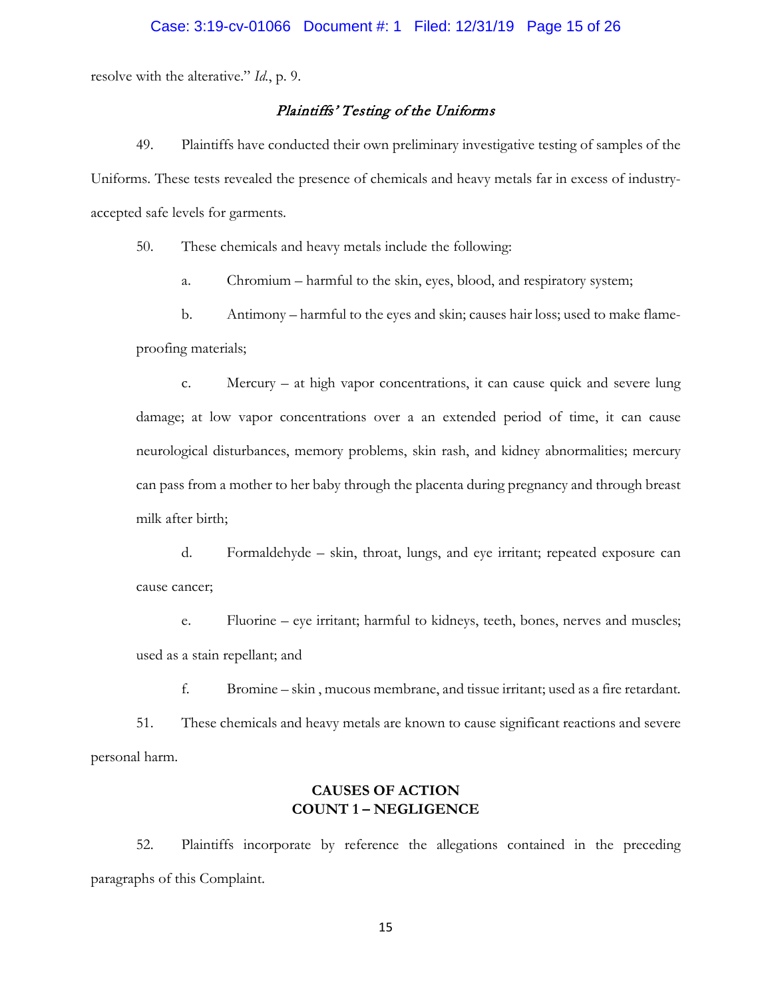resolve with the alterative." *Id.*, p. 9.

## Plaintiffs' Testing of the Uniforms

49. Plaintiffs have conducted their own preliminary investigative testing of samples of the Uniforms. These tests revealed the presence of chemicals and heavy metals far in excess of industryaccepted safe levels for garments.

50. These chemicals and heavy metals include the following:

a. Chromium – harmful to the skin, eyes, blood, and respiratory system;

b. Antimony – harmful to the eyes and skin; causes hair loss; used to make flameproofing materials;

c. Mercury – at high vapor concentrations, it can cause quick and severe lung damage; at low vapor concentrations over a an extended period of time, it can cause neurological disturbances, memory problems, skin rash, and kidney abnormalities; mercury can pass from a mother to her baby through the placenta during pregnancy and through breast milk after birth;

d. Formaldehyde – skin, throat, lungs, and eye irritant; repeated exposure can cause cancer;

e. Fluorine – eye irritant; harmful to kidneys, teeth, bones, nerves and muscles; used as a stain repellant; and

f. Bromine – skin , mucous membrane, and tissue irritant; used as a fire retardant. 51. These chemicals and heavy metals are known to cause significant reactions and severe personal harm.

# **CAUSES OF ACTION COUNT 1 – NEGLIGENCE**

52. Plaintiffs incorporate by reference the allegations contained in the preceding paragraphs of this Complaint.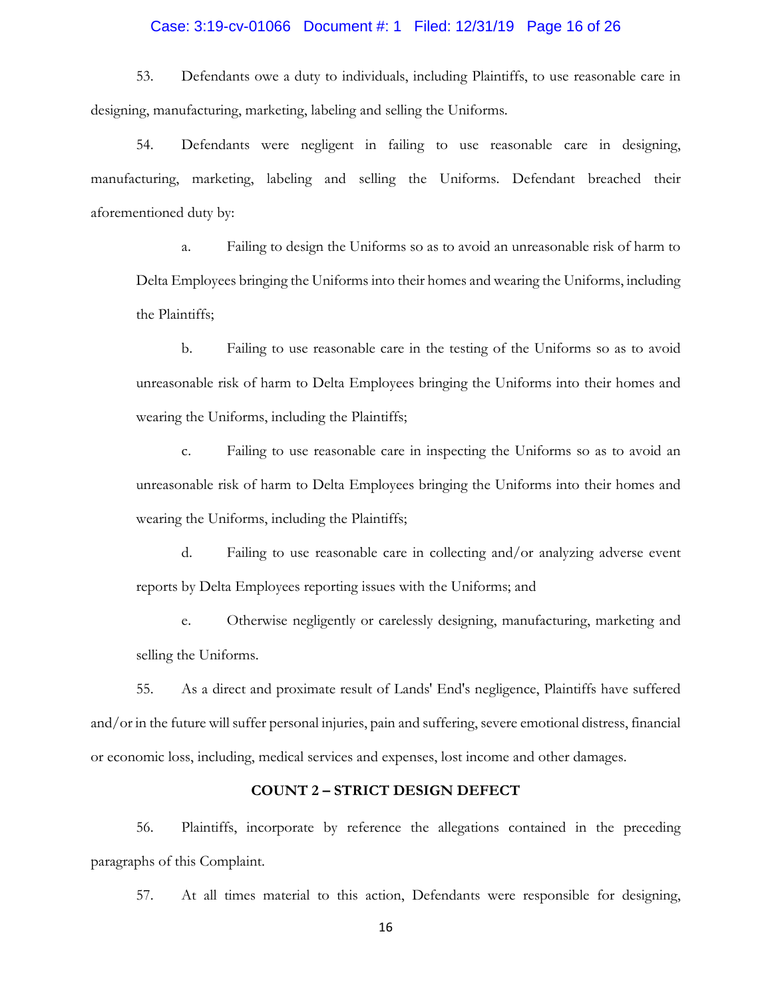#### Case: 3:19-cv-01066 Document #: 1 Filed: 12/31/19 Page 16 of 26

53. Defendants owe a duty to individuals, including Plaintiffs, to use reasonable care in designing, manufacturing, marketing, labeling and selling the Uniforms.

54. Defendants were negligent in failing to use reasonable care in designing, manufacturing, marketing, labeling and selling the Uniforms. Defendant breached their aforementioned duty by:

a. Failing to design the Uniforms so as to avoid an unreasonable risk of harm to Delta Employees bringing the Uniforms into their homes and wearing the Uniforms, including the Plaintiffs;

b. Failing to use reasonable care in the testing of the Uniforms so as to avoid unreasonable risk of harm to Delta Employees bringing the Uniforms into their homes and wearing the Uniforms, including the Plaintiffs;

c. Failing to use reasonable care in inspecting the Uniforms so as to avoid an unreasonable risk of harm to Delta Employees bringing the Uniforms into their homes and wearing the Uniforms, including the Plaintiffs;

d. Failing to use reasonable care in collecting and/or analyzing adverse event reports by Delta Employees reporting issues with the Uniforms; and

e. Otherwise negligently or carelessly designing, manufacturing, marketing and selling the Uniforms.

55. As a direct and proximate result of Lands' End's negligence, Plaintiffs have suffered and/or in the future will suffer personal injuries, pain and suffering, severe emotional distress, financial or economic loss, including, medical services and expenses, lost income and other damages.

## **COUNT 2 – STRICT DESIGN DEFECT**

56. Plaintiffs, incorporate by reference the allegations contained in the preceding paragraphs of this Complaint.

57. At all times material to this action, Defendants were responsible for designing,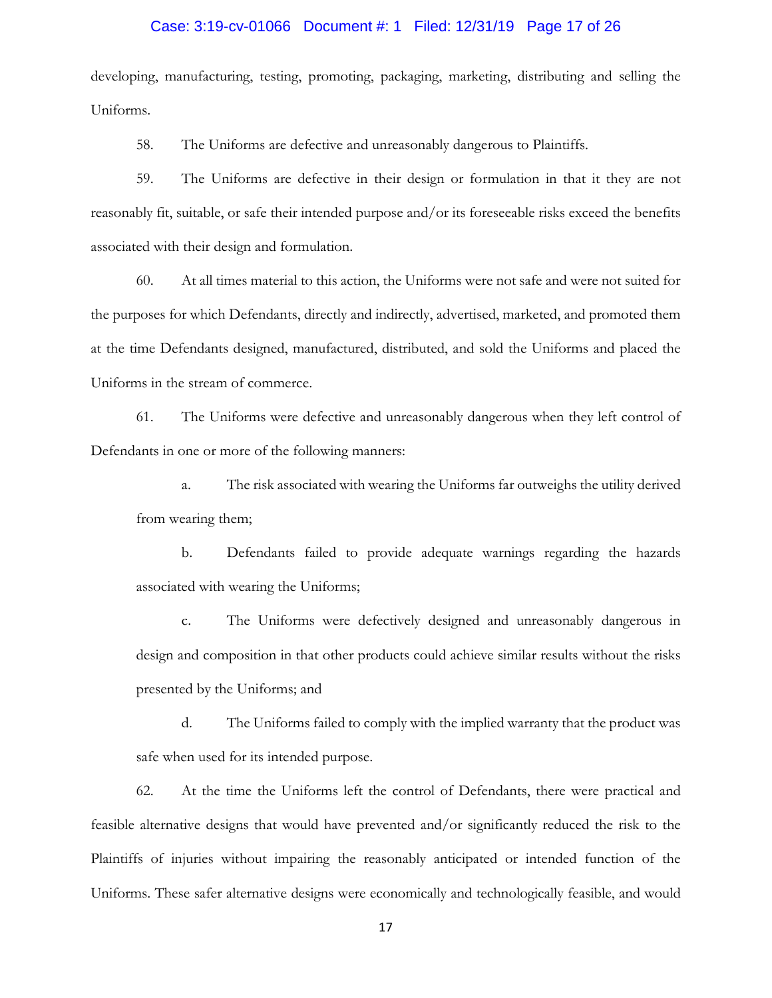## Case: 3:19-cv-01066 Document #: 1 Filed: 12/31/19 Page 17 of 26

developing, manufacturing, testing, promoting, packaging, marketing, distributing and selling the Uniforms.

58. The Uniforms are defective and unreasonably dangerous to Plaintiffs.

59. The Uniforms are defective in their design or formulation in that it they are not reasonably fit, suitable, or safe their intended purpose and/or its foreseeable risks exceed the benefits associated with their design and formulation.

60. At all times material to this action, the Uniforms were not safe and were not suited for the purposes for which Defendants, directly and indirectly, advertised, marketed, and promoted them at the time Defendants designed, manufactured, distributed, and sold the Uniforms and placed the Uniforms in the stream of commerce.

61. The Uniforms were defective and unreasonably dangerous when they left control of Defendants in one or more of the following manners:

a. The risk associated with wearing the Uniforms far outweighs the utility derived from wearing them;

b. Defendants failed to provide adequate warnings regarding the hazards associated with wearing the Uniforms;

c. The Uniforms were defectively designed and unreasonably dangerous in design and composition in that other products could achieve similar results without the risks presented by the Uniforms; and

d. The Uniforms failed to comply with the implied warranty that the product was safe when used for its intended purpose.

62. At the time the Uniforms left the control of Defendants, there were practical and feasible alternative designs that would have prevented and/or significantly reduced the risk to the Plaintiffs of injuries without impairing the reasonably anticipated or intended function of the Uniforms. These safer alternative designs were economically and technologically feasible, and would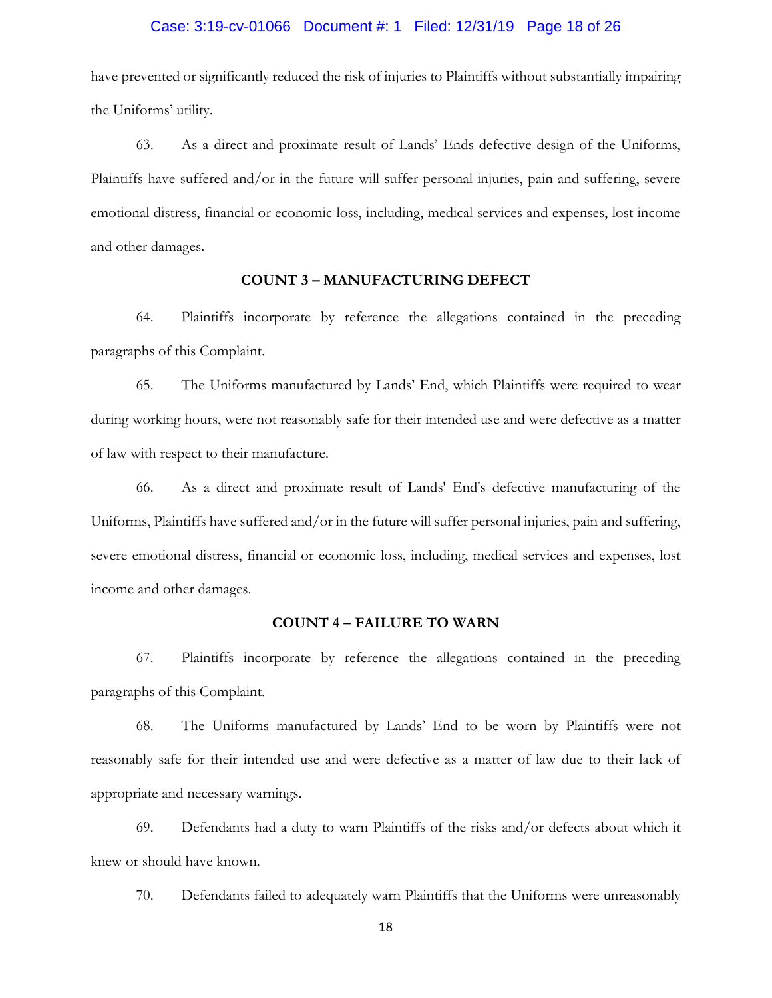#### Case: 3:19-cv-01066 Document #: 1 Filed: 12/31/19 Page 18 of 26

have prevented or significantly reduced the risk of injuries to Plaintiffs without substantially impairing the Uniforms' utility.

63. As a direct and proximate result of Lands' Ends defective design of the Uniforms, Plaintiffs have suffered and/or in the future will suffer personal injuries, pain and suffering, severe emotional distress, financial or economic loss, including, medical services and expenses, lost income and other damages.

## **COUNT 3 – MANUFACTURING DEFECT**

64. Plaintiffs incorporate by reference the allegations contained in the preceding paragraphs of this Complaint.

65. The Uniforms manufactured by Lands' End, which Plaintiffs were required to wear during working hours, were not reasonably safe for their intended use and were defective as a matter of law with respect to their manufacture.

66. As a direct and proximate result of Lands' End's defective manufacturing of the Uniforms, Plaintiffs have suffered and/or in the future will suffer personal injuries, pain and suffering, severe emotional distress, financial or economic loss, including, medical services and expenses, lost income and other damages.

## **COUNT 4 – FAILURE TO WARN**

67. Plaintiffs incorporate by reference the allegations contained in the preceding paragraphs of this Complaint.

68. The Uniforms manufactured by Lands' End to be worn by Plaintiffs were not reasonably safe for their intended use and were defective as a matter of law due to their lack of appropriate and necessary warnings.

69. Defendants had a duty to warn Plaintiffs of the risks and/or defects about which it knew or should have known.

70. Defendants failed to adequately warn Plaintiffs that the Uniforms were unreasonably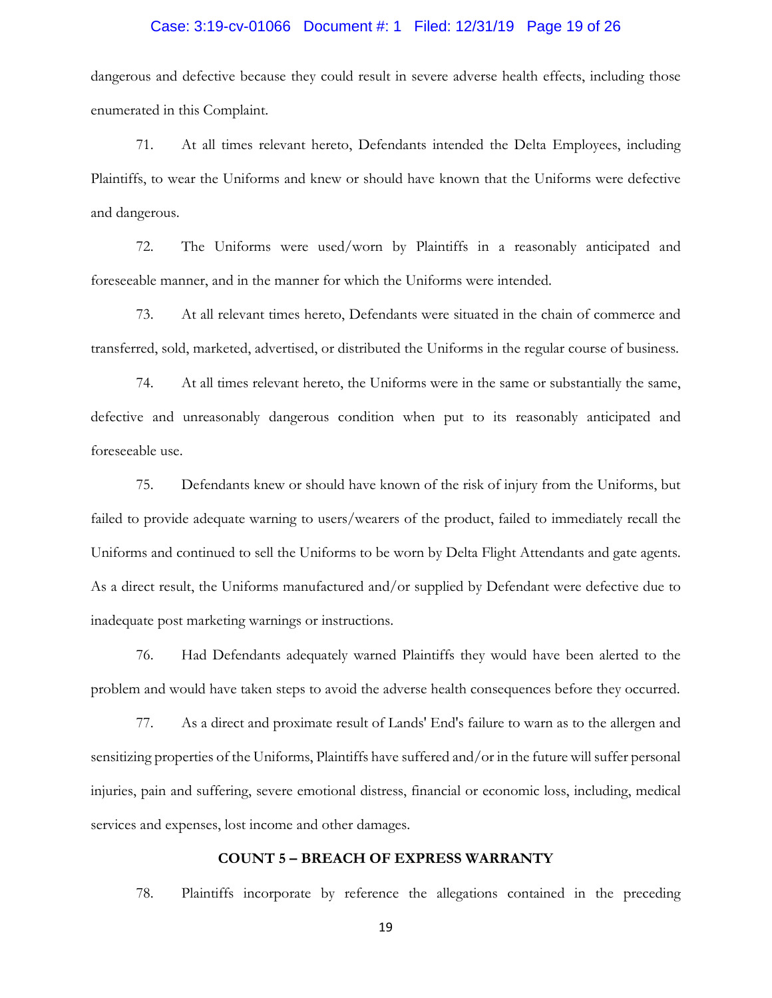## Case: 3:19-cv-01066 Document #: 1 Filed: 12/31/19 Page 19 of 26

dangerous and defective because they could result in severe adverse health effects, including those enumerated in this Complaint.

71. At all times relevant hereto, Defendants intended the Delta Employees, including Plaintiffs, to wear the Uniforms and knew or should have known that the Uniforms were defective and dangerous.

72. The Uniforms were used/worn by Plaintiffs in a reasonably anticipated and foreseeable manner, and in the manner for which the Uniforms were intended.

73. At all relevant times hereto, Defendants were situated in the chain of commerce and transferred, sold, marketed, advertised, or distributed the Uniforms in the regular course of business.

74. At all times relevant hereto, the Uniforms were in the same or substantially the same, defective and unreasonably dangerous condition when put to its reasonably anticipated and foreseeable use.

75. Defendants knew or should have known of the risk of injury from the Uniforms, but failed to provide adequate warning to users/wearers of the product, failed to immediately recall the Uniforms and continued to sell the Uniforms to be worn by Delta Flight Attendants and gate agents. As a direct result, the Uniforms manufactured and/or supplied by Defendant were defective due to inadequate post marketing warnings or instructions.

76. Had Defendants adequately warned Plaintiffs they would have been alerted to the problem and would have taken steps to avoid the adverse health consequences before they occurred.

77. As a direct and proximate result of Lands' End's failure to warn as to the allergen and sensitizing properties of the Uniforms, Plaintiffs have suffered and/or in the future will suffer personal injuries, pain and suffering, severe emotional distress, financial or economic loss, including, medical services and expenses, lost income and other damages.

## **COUNT 5 – BREACH OF EXPRESS WARRANTY**

78. Plaintiffs incorporate by reference the allegations contained in the preceding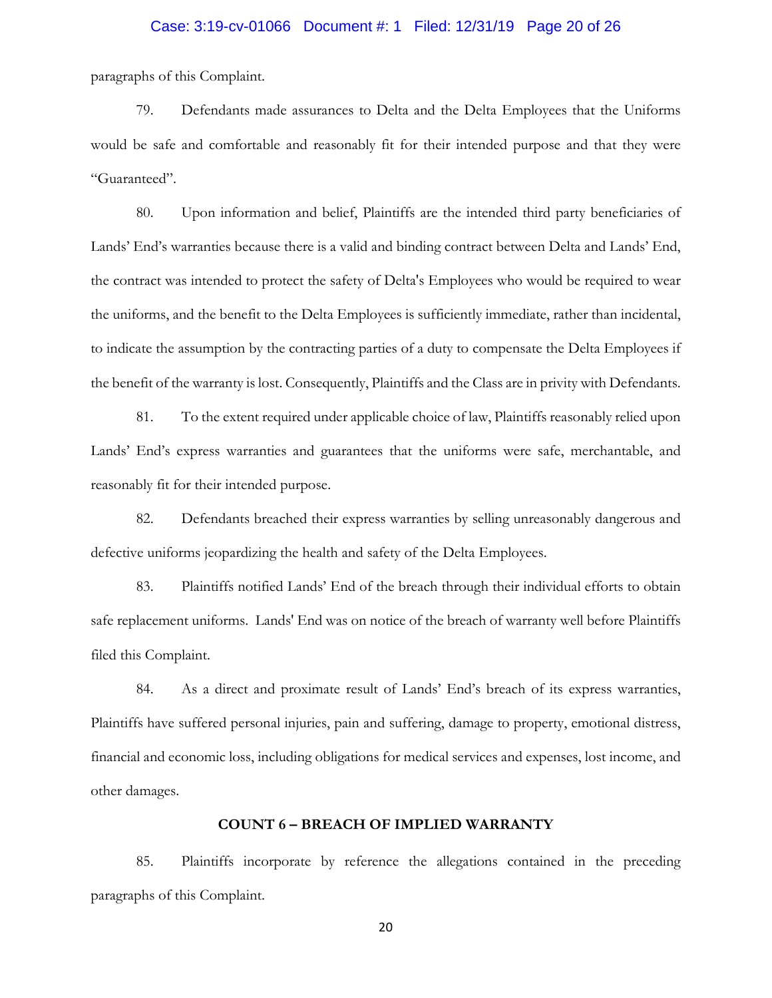#### Case: 3:19-cv-01066 Document #: 1 Filed: 12/31/19 Page 20 of 26

paragraphs of this Complaint.

79. Defendants made assurances to Delta and the Delta Employees that the Uniforms would be safe and comfortable and reasonably fit for their intended purpose and that they were "Guaranteed".

80. Upon information and belief, Plaintiffs are the intended third party beneficiaries of Lands' End's warranties because there is a valid and binding contract between Delta and Lands' End, the contract was intended to protect the safety of Delta's Employees who would be required to wear the uniforms, and the benefit to the Delta Employees is sufficiently immediate, rather than incidental, to indicate the assumption by the contracting parties of a duty to compensate the Delta Employees if the benefit of the warranty is lost. Consequently, Plaintiffs and the Class are in privity with Defendants.

81. To the extent required under applicable choice of law, Plaintiffs reasonably relied upon Lands' End's express warranties and guarantees that the uniforms were safe, merchantable, and reasonably fit for their intended purpose.

82. Defendants breached their express warranties by selling unreasonably dangerous and defective uniforms jeopardizing the health and safety of the Delta Employees.

83. Plaintiffs notified Lands' End of the breach through their individual efforts to obtain safe replacement uniforms. Lands' End was on notice of the breach of warranty well before Plaintiffs filed this Complaint.

84. As a direct and proximate result of Lands' End's breach of its express warranties, Plaintiffs have suffered personal injuries, pain and suffering, damage to property, emotional distress, financial and economic loss, including obligations for medical services and expenses, lost income, and other damages.

## **COUNT 6 – BREACH OF IMPLIED WARRANTY**

85. Plaintiffs incorporate by reference the allegations contained in the preceding paragraphs of this Complaint.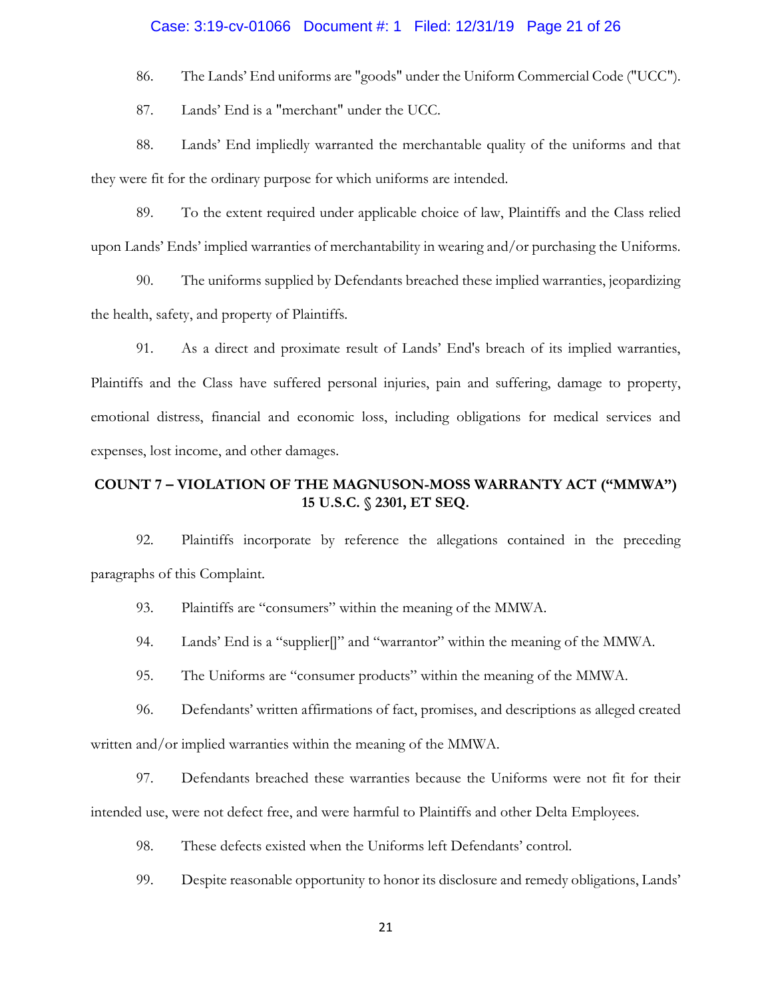## Case: 3:19-cv-01066 Document #: 1 Filed: 12/31/19 Page 21 of 26

86. The Lands' End uniforms are "goods" under the Uniform Commercial Code ("UCC").

87. Lands' End is a "merchant" under the UCC.

88. Lands' End impliedly warranted the merchantable quality of the uniforms and that they were fit for the ordinary purpose for which uniforms are intended.

89. To the extent required under applicable choice of law, Plaintiffs and the Class relied upon Lands' Ends' implied warranties of merchantability in wearing and/or purchasing the Uniforms.

90. The uniforms supplied by Defendants breached these implied warranties, jeopardizing the health, safety, and property of Plaintiffs.

91. As a direct and proximate result of Lands' End's breach of its implied warranties, Plaintiffs and the Class have suffered personal injuries, pain and suffering, damage to property, emotional distress, financial and economic loss, including obligations for medical services and expenses, lost income, and other damages.

# **COUNT 7 – VIOLATION OF THE MAGNUSON-MOSS WARRANTY ACT ("MMWA") 15 U.S.C. § 2301, ET SEQ.**

92. Plaintiffs incorporate by reference the allegations contained in the preceding paragraphs of this Complaint.

93. Plaintiffs are "consumers" within the meaning of the MMWA.

94. Lands' End is a "supplier[]" and "warrantor" within the meaning of the MMWA.

95. The Uniforms are "consumer products" within the meaning of the MMWA.

96. Defendants' written affirmations of fact, promises, and descriptions as alleged created written and/or implied warranties within the meaning of the MMWA.

97. Defendants breached these warranties because the Uniforms were not fit for their intended use, were not defect free, and were harmful to Plaintiffs and other Delta Employees.

98. These defects existed when the Uniforms left Defendants' control.

99. Despite reasonable opportunity to honor its disclosure and remedy obligations, Lands'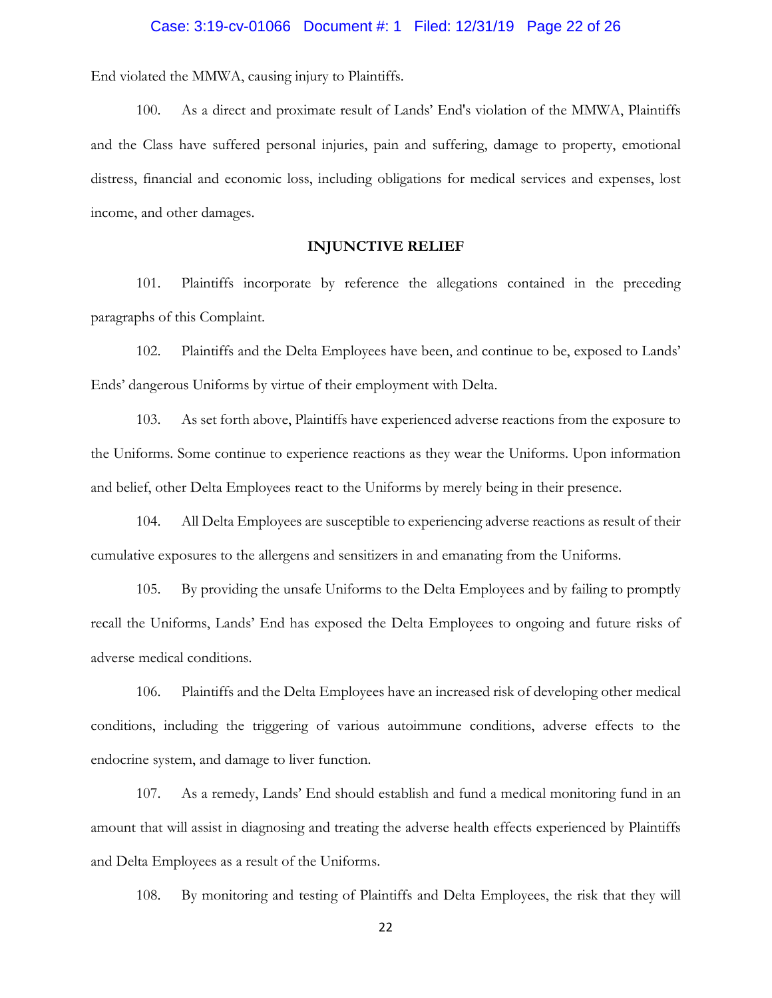#### Case: 3:19-cv-01066 Document #: 1 Filed: 12/31/19 Page 22 of 26

End violated the MMWA, causing injury to Plaintiffs.

100. As a direct and proximate result of Lands' End's violation of the MMWA, Plaintiffs and the Class have suffered personal injuries, pain and suffering, damage to property, emotional distress, financial and economic loss, including obligations for medical services and expenses, lost income, and other damages.

#### **INJUNCTIVE RELIEF**

101. Plaintiffs incorporate by reference the allegations contained in the preceding paragraphs of this Complaint.

102. Plaintiffs and the Delta Employees have been, and continue to be, exposed to Lands' Ends' dangerous Uniforms by virtue of their employment with Delta.

103. As set forth above, Plaintiffs have experienced adverse reactions from the exposure to the Uniforms. Some continue to experience reactions as they wear the Uniforms. Upon information and belief, other Delta Employees react to the Uniforms by merely being in their presence.

104. All Delta Employees are susceptible to experiencing adverse reactions as result of their cumulative exposures to the allergens and sensitizers in and emanating from the Uniforms.

105. By providing the unsafe Uniforms to the Delta Employees and by failing to promptly recall the Uniforms, Lands' End has exposed the Delta Employees to ongoing and future risks of adverse medical conditions.

106. Plaintiffs and the Delta Employees have an increased risk of developing other medical conditions, including the triggering of various autoimmune conditions, adverse effects to the endocrine system, and damage to liver function.

107. As a remedy, Lands' End should establish and fund a medical monitoring fund in an amount that will assist in diagnosing and treating the adverse health effects experienced by Plaintiffs and Delta Employees as a result of the Uniforms.

108. By monitoring and testing of Plaintiffs and Delta Employees, the risk that they will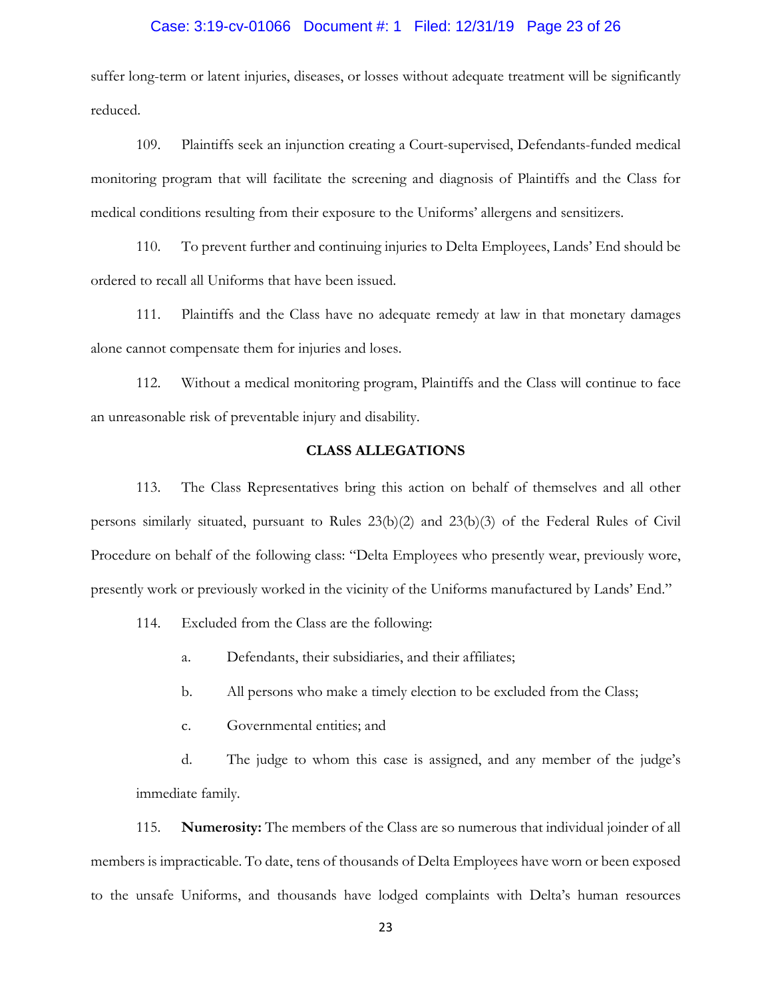#### Case: 3:19-cv-01066 Document #: 1 Filed: 12/31/19 Page 23 of 26

suffer long-term or latent injuries, diseases, or losses without adequate treatment will be significantly reduced.

109. Plaintiffs seek an injunction creating a Court-supervised, Defendants-funded medical monitoring program that will facilitate the screening and diagnosis of Plaintiffs and the Class for medical conditions resulting from their exposure to the Uniforms' allergens and sensitizers.

110. To prevent further and continuing injuries to Delta Employees, Lands' End should be ordered to recall all Uniforms that have been issued.

111. Plaintiffs and the Class have no adequate remedy at law in that monetary damages alone cannot compensate them for injuries and loses.

112. Without a medical monitoring program, Plaintiffs and the Class will continue to face an unreasonable risk of preventable injury and disability.

## **CLASS ALLEGATIONS**

113. The Class Representatives bring this action on behalf of themselves and all other persons similarly situated, pursuant to Rules 23(b)(2) and 23(b)(3) of the Federal Rules of Civil Procedure on behalf of the following class: "Delta Employees who presently wear, previously wore, presently work or previously worked in the vicinity of the Uniforms manufactured by Lands' End."

114. Excluded from the Class are the following:

- a. Defendants, their subsidiaries, and their affiliates;
- b. All persons who make a timely election to be excluded from the Class;
- c. Governmental entities; and

d. The judge to whom this case is assigned, and any member of the judge's immediate family.

115. **Numerosity:** The members of the Class are so numerous that individual joinder of all members is impracticable. To date, tens of thousands of Delta Employees have worn or been exposed to the unsafe Uniforms, and thousands have lodged complaints with Delta's human resources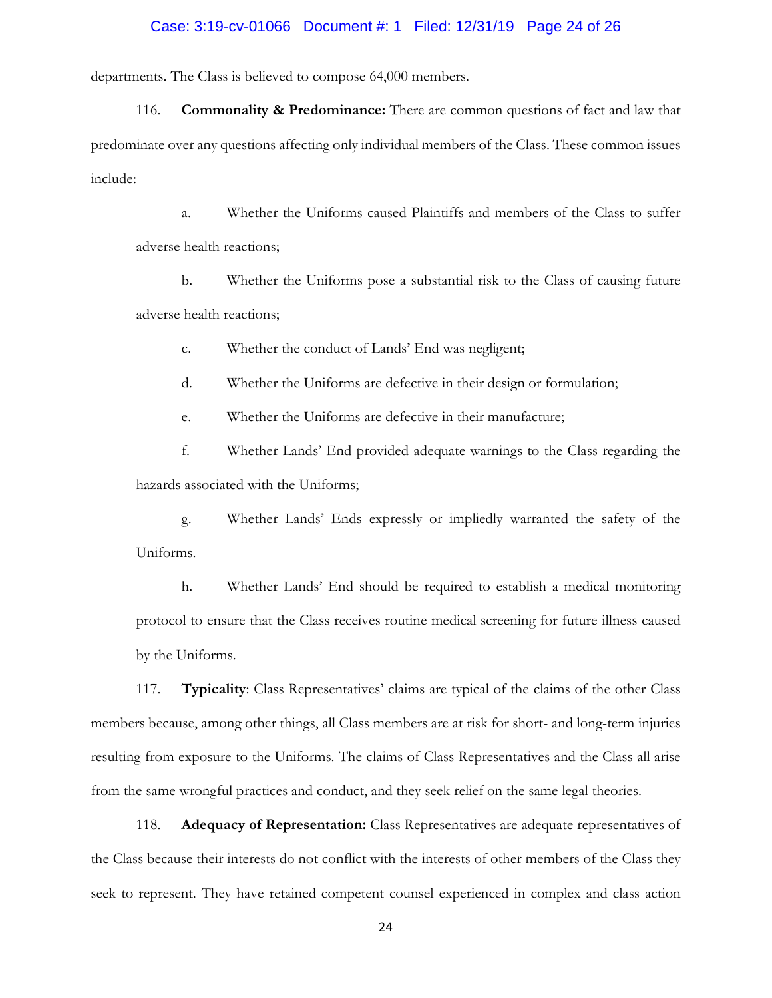#### Case: 3:19-cv-01066 Document #: 1 Filed: 12/31/19 Page 24 of 26

departments. The Class is believed to compose 64,000 members.

116. **Commonality & Predominance:** There are common questions of fact and law that predominate over any questions affecting only individual members of the Class. These common issues include:

a. Whether the Uniforms caused Plaintiffs and members of the Class to suffer adverse health reactions;

b. Whether the Uniforms pose a substantial risk to the Class of causing future adverse health reactions;

c. Whether the conduct of Lands' End was negligent;

d. Whether the Uniforms are defective in their design or formulation;

e. Whether the Uniforms are defective in their manufacture;

f. Whether Lands' End provided adequate warnings to the Class regarding the hazards associated with the Uniforms;

g. Whether Lands' Ends expressly or impliedly warranted the safety of the Uniforms.

h. Whether Lands' End should be required to establish a medical monitoring protocol to ensure that the Class receives routine medical screening for future illness caused by the Uniforms.

117. **Typicality**: Class Representatives' claims are typical of the claims of the other Class members because, among other things, all Class members are at risk for short- and long-term injuries resulting from exposure to the Uniforms. The claims of Class Representatives and the Class all arise from the same wrongful practices and conduct, and they seek relief on the same legal theories.

118. **Adequacy of Representation:** Class Representatives are adequate representatives of the Class because their interests do not conflict with the interests of other members of the Class they seek to represent. They have retained competent counsel experienced in complex and class action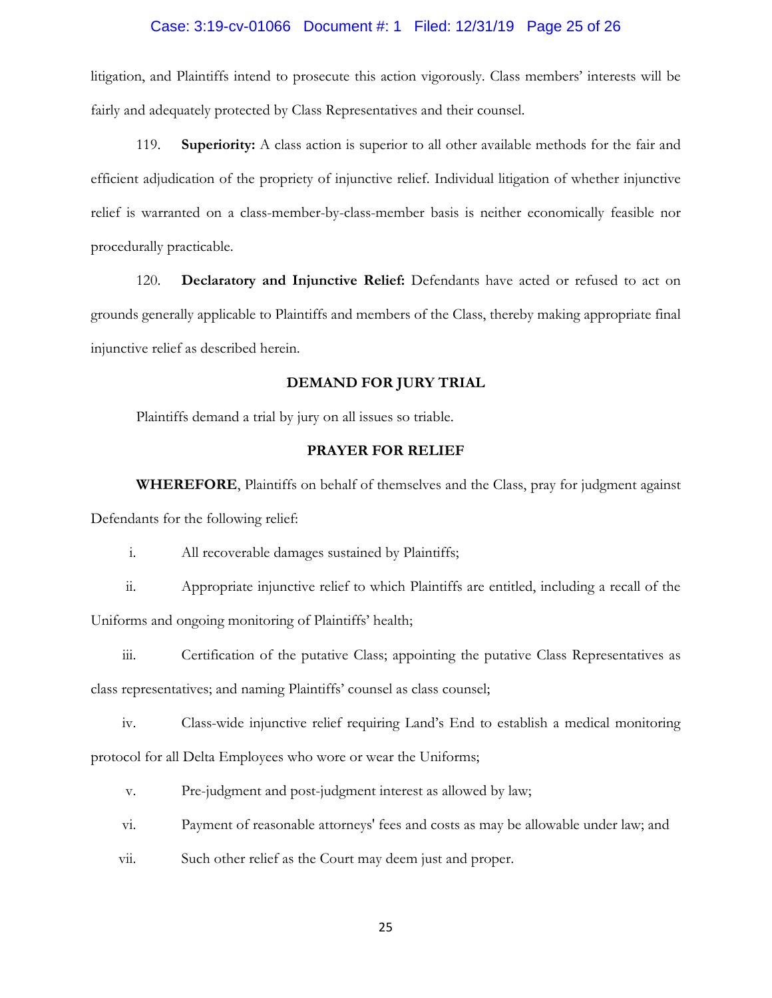## Case: 3:19-cv-01066 Document #: 1 Filed: 12/31/19 Page 25 of 26

litigation, and Plaintiffs intend to prosecute this action vigorously. Class members' interests will be fairly and adequately protected by Class Representatives and their counsel.

119. **Superiority:** A class action is superior to all other available methods for the fair and efficient adjudication of the propriety of injunctive relief. Individual litigation of whether injunctive relief is warranted on a class-member-by-class-member basis is neither economically feasible nor procedurally practicable.

120. **Declaratory and Injunctive Relief:** Defendants have acted or refused to act on grounds generally applicable to Plaintiffs and members of the Class, thereby making appropriate final injunctive relief as described herein.

#### **DEMAND FOR JURY TRIAL**

Plaintiffs demand a trial by jury on all issues so triable.

## **PRAYER FOR RELIEF**

**WHEREFORE**, Plaintiffs on behalf of themselves and the Class, pray for judgment against Defendants for the following relief:

i. All recoverable damages sustained by Plaintiffs;

ii. Appropriate injunctive relief to which Plaintiffs are entitled, including a recall of the Uniforms and ongoing monitoring of Plaintiffs' health;

iii. Certification of the putative Class; appointing the putative Class Representatives as class representatives; and naming Plaintiffs' counsel as class counsel;

iv. Class-wide injunctive relief requiring Land's End to establish a medical monitoring protocol for all Delta Employees who wore or wear the Uniforms;

v. Pre-judgment and post-judgment interest as allowed by law;

- vi. Payment of reasonable attorneys' fees and costs as may be allowable under law; and
- vii. Such other relief as the Court may deem just and proper.